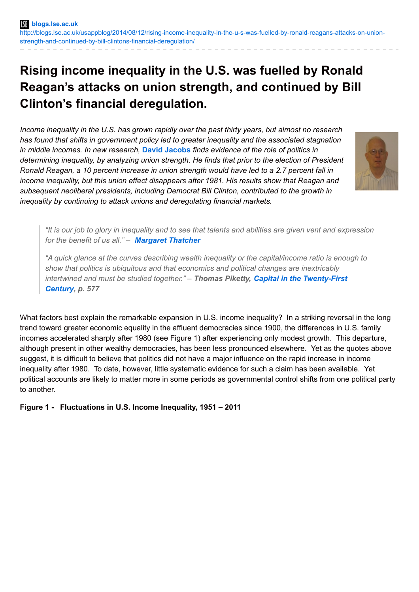# **Rising income inequality in the U.S. was fuelled by Ronald Reagan's attacks on union strength, and continued by Bill Clinton's financial deregulation.**

*Income inequality in the U.S. has grown rapidly over the past thirty years, but almost no research has found that shifts in government policy led to greater inequality and the associated stagnation in middle incomes. In new research,* **David [Jacobs](http://wp.me/p3I2YF-2iD#Author)** *finds evidence of the role of politics in determining inequality, by analyzing union strength. He finds that prior to the election of President Ronald Reagan, a 10 percent increase in union strength would have led to a 2.7 percent fall in income inequality, but this union effect disappears after 1981. His results show that Reagan and subsequent neoliberal presidents, including Democrat Bill Clinton, contributed to the growth in inequality by continuing to attack unions and deregulating financial markets.*



"It is our job to glory in inequality and to see that talents and abilities are given vent and expression *for the benefit of us all." – [Margaret](http://www.metapress.com/content/728u7k687p11n657/) Thatcher*

*"A quick glance at the curves describing wealth inequality or the capital/income ratio is enough to show that politics is ubiquitous and that economics and political changes are inextricably intertwined and must be studied together." – Thomas Piketty, Capital in the [Twenty-First](http://books.google.co.uk/books?id=J222AgAAQBAJ&dq=Capital+in+the+Twenty-First+Century&source=gbs_navlinks_s) Century, p. 577*

What factors best explain the remarkable expansion in U.S. income inequality? In a striking reversal in the long trend toward greater economic equality in the affluent democracies since 1900, the differences in U.S. family incomes accelerated sharply after 1980 (see Figure 1) after experiencing only modest growth. This departure, although present in other wealthy democracies, has been less pronounced elsewhere. Yet as the quotes above suggest, it is difficult to believe that politics did not have a major influence on the rapid increase in income inequality after 1980. To date, however, little systematic evidence for such a claim has been available. Yet political accounts are likely to matter more in some periods as governmental control shifts from one political party to another.

**Figure 1 - Fluctuations in U.S. Income Inequality, 1951 – 2011**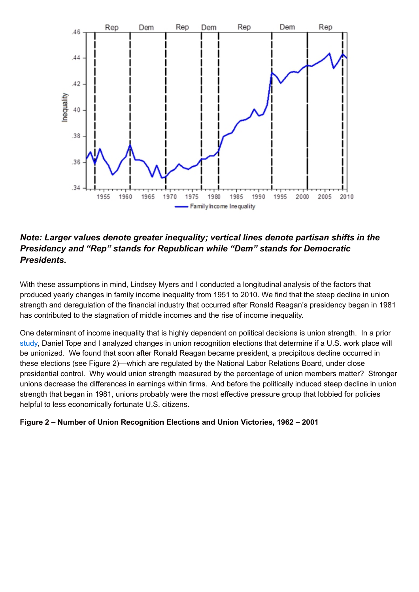

## *Note: Larger values denote greater inequality; vertical lines denote partisan shifts in the Presidency and "Rep" stands for Republican while "Dem" stands for Democratic Presidents.*

With these assumptions in mind, Lindsey Myers and I conducted a longitudinal analysis of the factors that produced yearly changes in family income inequality from 1951 to 2010. We find that the steep decline in union strength and deregulation of the financial industry that occurred after Ronald Reagan's presidency began in 1981 has contributed to the stagnation of middle incomes and the rise of income inequality.

One determinant of income inequality that is highly dependent on political decisions is union strength. In a prior [study](http://asr.sagepub.com/content/74/5/842.abstract), Daniel Tope and I analyzed changes in union recognition elections that determine if a U.S. work place will be unionized. We found that soon after Ronald Reagan became president, a precipitous decline occurred in these elections (see Figure 2)—which are regulated by the National Labor Relations Board, under close presidential control. Why would union strength measured by the percentage of union members matter? Stronger unions decrease the differences in earnings within firms. And before the politically induced steep decline in union strength that began in 1981, unions probably were the most effective pressure group that lobbied for policies helpful to less economically fortunate U.S. citizens.

### **Figure 2 – Number of Union Recognition Elections and Union Victories, 1962 – 2001**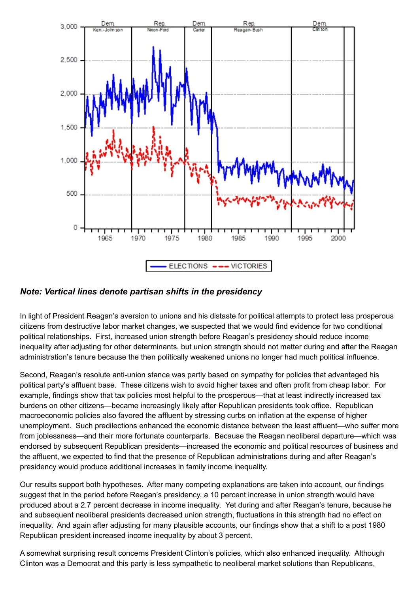

*Note: Vertical lines denote partisan shifts in the presidency*

In light of President Reagan's aversion to unions and his distaste for political attempts to protect less prosperous citizens from destructive labor market changes, we suspected that we would find evidence for two conditional political relationships. First, increased union strength before Reagan's presidency should reduce income inequality after adjusting for other determinants, but union strength should not matter during and after the Reagan administration's tenure because the then politically weakened unions no longer had much political influence.

Second, Reagan's resolute anti-union stance was partly based on sympathy for policies that advantaged his political party's affluent base. These citizens wish to avoid higher taxes and often profit from cheap labor. For example, findings show that tax policies most helpful to the prosperous—that at least indirectly increased tax burdens on other citizens—became increasingly likely after Republican presidents took office. Republican macroeconomic policies also favored the affluent by stressing curbs on inflation at the expense of higher unemployment. Such predilections enhanced the economic distance between the least affluent—who suffer more from joblessness—and their more fortunate counterparts. Because the Reagan neoliberal departure—which was endorsed by subsequent Republican presidents—increased the economic and political resources of business and the affluent, we expected to find that the presence of Republican administrations during and after Reagan's presidency would produce additional increases in family income inequality.

Our results support both hypotheses. After many competing explanations are taken into account, our findings suggest that in the period before Reagan's presidency, a 10 percent increase in union strength would have produced about a 2.7 percent decrease in income inequality. Yet during and after Reagan's tenure, because he and subsequent neoliberal presidents decreased union strength, fluctuations in this strength had no effect on inequality. And again after adjusting for many plausible accounts, our findings show that a shift to a post 1980 Republican president increased income inequality by about 3 percent.

A somewhat surprising result concerns President Clinton's policies, which also enhanced inequality. Although Clinton was a Democrat and this party is less sympathetic to neoliberal market solutions than Republicans,